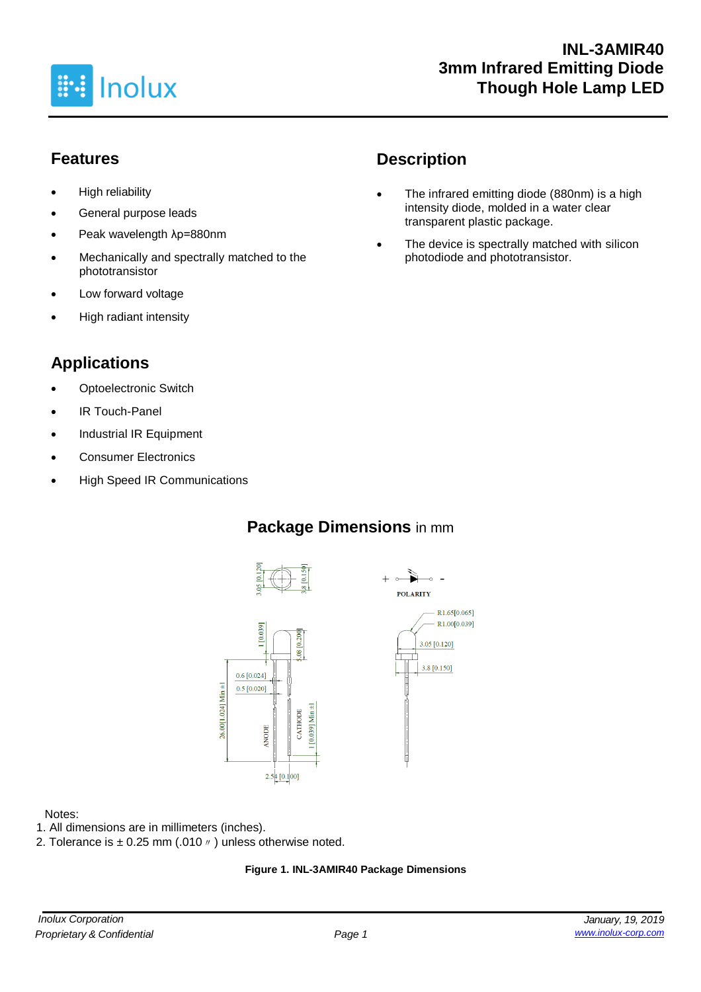

## **Features**

- High reliability
- General purpose leads
- Peak wavelength λp=880nm
- Mechanically and spectrally matched to the phototransistor
- Low forward voltage
- High radiant intensity

# **Applications**

- **Optoelectronic Switch**
- IR Touch-Panel
- Industrial IR Equipment
- Consumer Electronics
- High Speed IR Communications

# **Description**

- The infrared emitting diode (880nm) is a high intensity diode, molded in a water clear transparent plastic package.
- The device is spectrally matched with silicon photodiode and phototransistor.

## **Package Dimensions** in mm







#### Notes:

- 1. All dimensions are in millimeters (inches).
- 2. Tolerance is  $\pm$  0.25 mm (.010  $\prime\prime$  ) unless otherwise noted.

#### **Figure 1. INL-3AMIR40 Package Dimensions**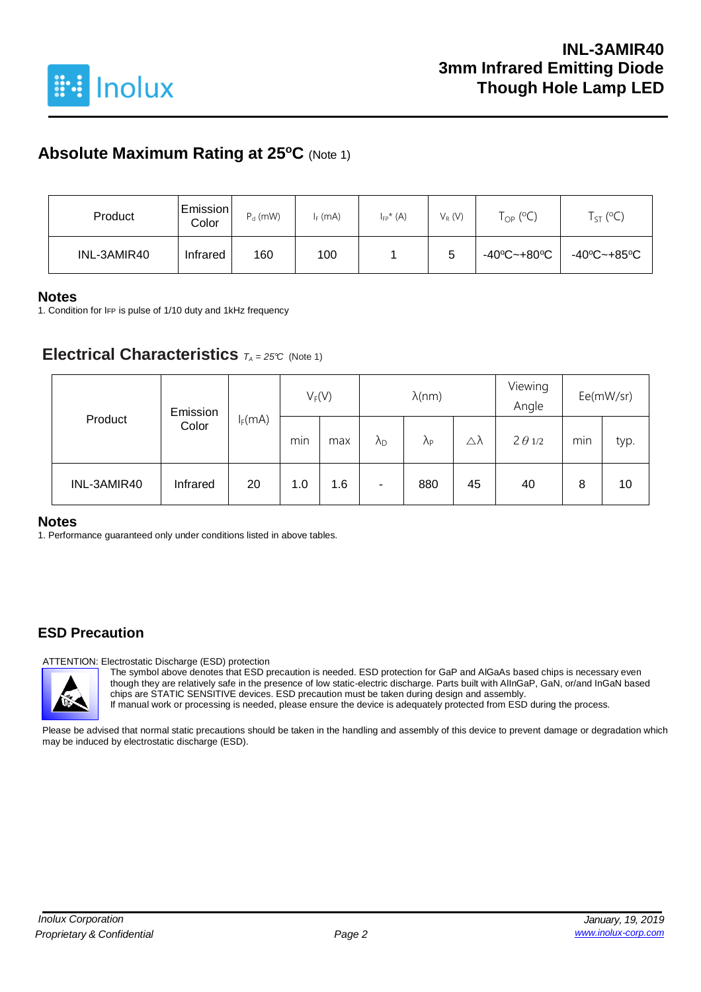

## **Absolute Maximum Rating at 25<sup>o</sup>C** (Note 1)

| Product     | Emission <br>Color | $P_d$ (mW) | $I_F$ (mA) | $I_{FP}^{\star}$ (A) | $V_R(V)$ | $\mathsf{T}_{\mathsf{OP}}$ (°C) | $T_{ST}$ (°C) |
|-------------|--------------------|------------|------------|----------------------|----------|---------------------------------|---------------|
| INL-3AMIR40 | Infrared           | 160        | 100        |                      | 5        | -40°C~+80°C                     | -40°C~+85°C   |

#### **Notes**

1. Condition for IFP is pulse of 1/10 duty and 1kHz frequency

### **Electrical Characteristics**  $T_A = 25^\circ C$  (Note 1)

|             | Emission<br>Color | $I_F(mA)$ | $V_F(V)$ |     | $\lambda$ (nm)    |                      |    | Viewing<br>Angle | Ee(mW/sr) |      |
|-------------|-------------------|-----------|----------|-----|-------------------|----------------------|----|------------------|-----------|------|
| Product     |                   |           | min      | max | $\Lambda_{\rm D}$ | $\Lambda_{\text{P}}$ | Δλ | $2 \theta 1/2$   | min       | typ. |
| INL-3AMIR40 | Infrared          | 20        | 1.0      | 1.6 | ۰                 | 880                  | 45 | 40               | 8         | 10   |

#### **Notes**

1. Performance guaranteed only under conditions listed in above tables.

### **ESD Precaution**

ATTENTION: Electrostatic Discharge (ESD) protection

The symbol above denotes that ESD precaution is needed. ESD protection for GaP and AlGaAs based chips is necessary even though they are relatively safe in the presence of low static-electric discharge. Parts built with AlInGaP, GaN, or/and InGaN based chips are STATIC SENSITIVE devices. ESD precaution must be taken during design and assembly. If manual work or processing is needed, please ensure the device is adequately protected from ESD during the process.

Please be advised that normal static precautions should be taken in the handling and assembly of this device to prevent damage or degradation which may be induced by electrostatic discharge (ESD).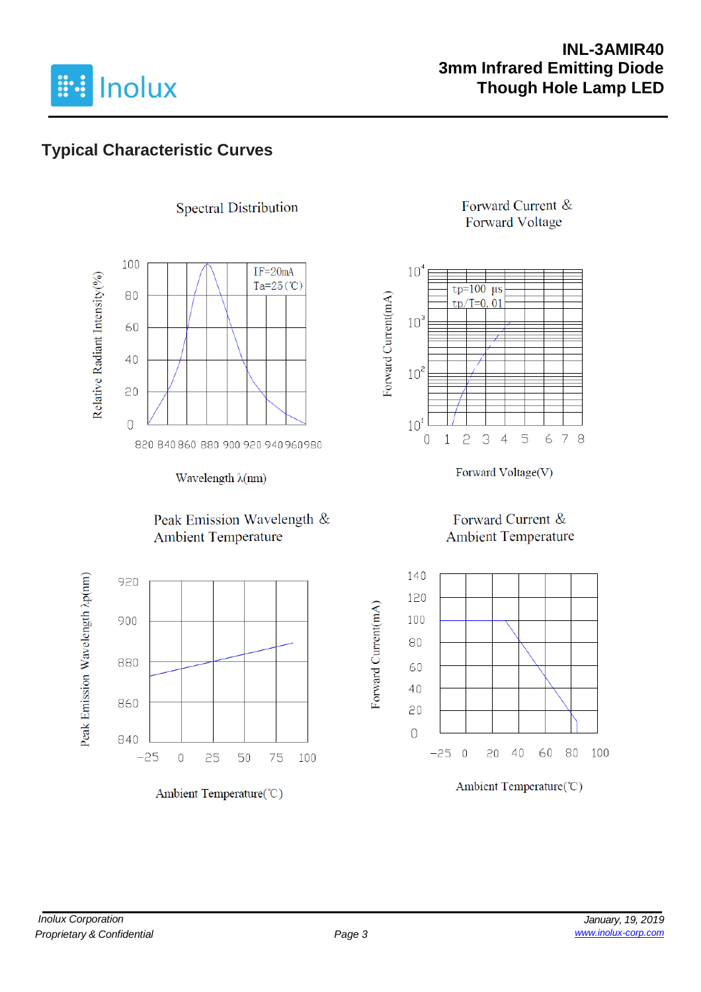

## **INL-3AMIR40 3mm Infrared Emitting Diode Though Hole Lamp LED**

# **Typical Characteristic Curves**



**Spectral Distribution** 

Wavelength λ(nm)

#### Peak Emission Wavelength & **Ambient Temperature**



Ambient Temperature(°C)

### Forward Current & **Forward Voltage**



Forward Voltage(V)

### Forward Current & **Ambient Temperature**



Ambient Temperature(°C)

Forward Current(mA)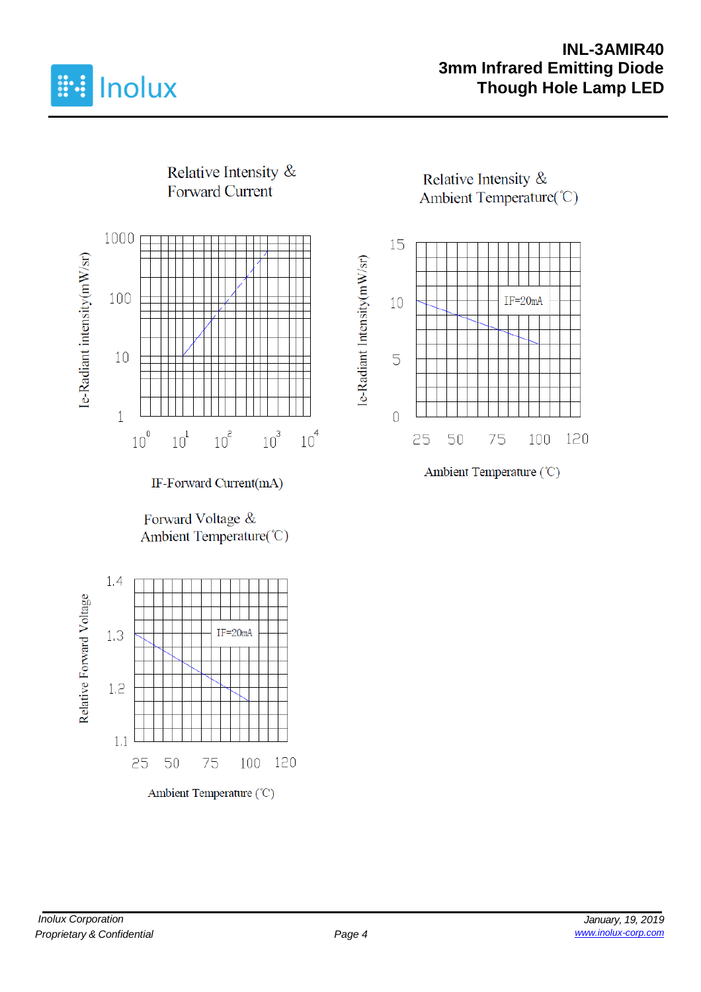

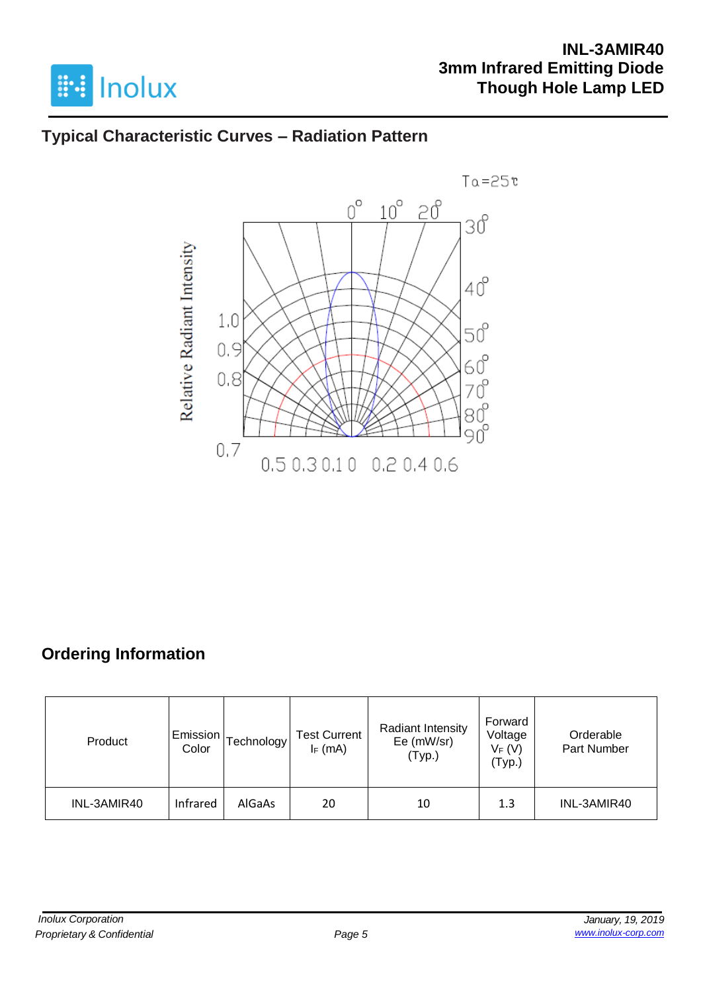

## **INL-3AMIR40 3mm Infrared Emitting Diode Though Hole Lamp LED**

## **Typical Characteristic Curves – Radiation Pattern**



# **Ordering Information**

| Product     | Emission<br>Color | [echnology | <b>Test Current</b><br>$I_F$ (mA) | Radiant Intensity<br>Ee (mW/sr)<br>(Typ.) | Forward<br>Voltage<br>$V_F(V)$<br>(Typ.) | Orderable<br>Part Number |
|-------------|-------------------|------------|-----------------------------------|-------------------------------------------|------------------------------------------|--------------------------|
| INL-3AMIR40 | Infrared          | AlGaAs     | 20                                | 10                                        | 1.3                                      | INL-3AMIR40              |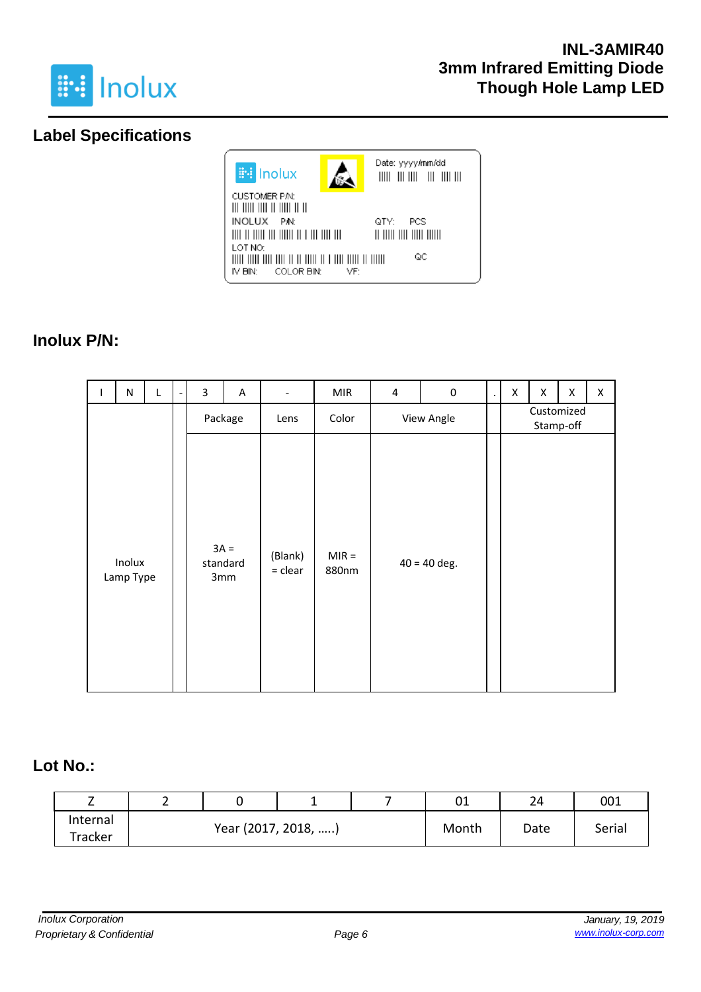

## **Label Specifications**



### **Inolux P/N:**

| I. | ${\sf N}$           |  | L       | 3                  | A    | $\overline{\phantom{a}}$ | <b>MIR</b>       | $\overline{4}$ | $\pmb{0}$      | $\cdot$                 | X | X | Χ | X |
|----|---------------------|--|---------|--------------------|------|--------------------------|------------------|----------------|----------------|-------------------------|---|---|---|---|
|    |                     |  | Package |                    | Lens | Color                    | View Angle       |                |                | Customized<br>Stamp-off |   |   |   |   |
|    | Inolux<br>Lamp Type |  |         | $3A =$<br>standard | 3mm  | (Blank)<br>$=$ clear     | $MIR =$<br>880nm |                | $40 = 40$ deg. |                         |   |   |   |   |

### **Lot No.:**

| <u>_</u> | - | -                   |  | 01    | 24   | 001    |  |
|----------|---|---------------------|--|-------|------|--------|--|
| Internal |   | Year (2017, 2018, ) |  | Month | Date | Serial |  |
| Tracker  |   |                     |  |       |      |        |  |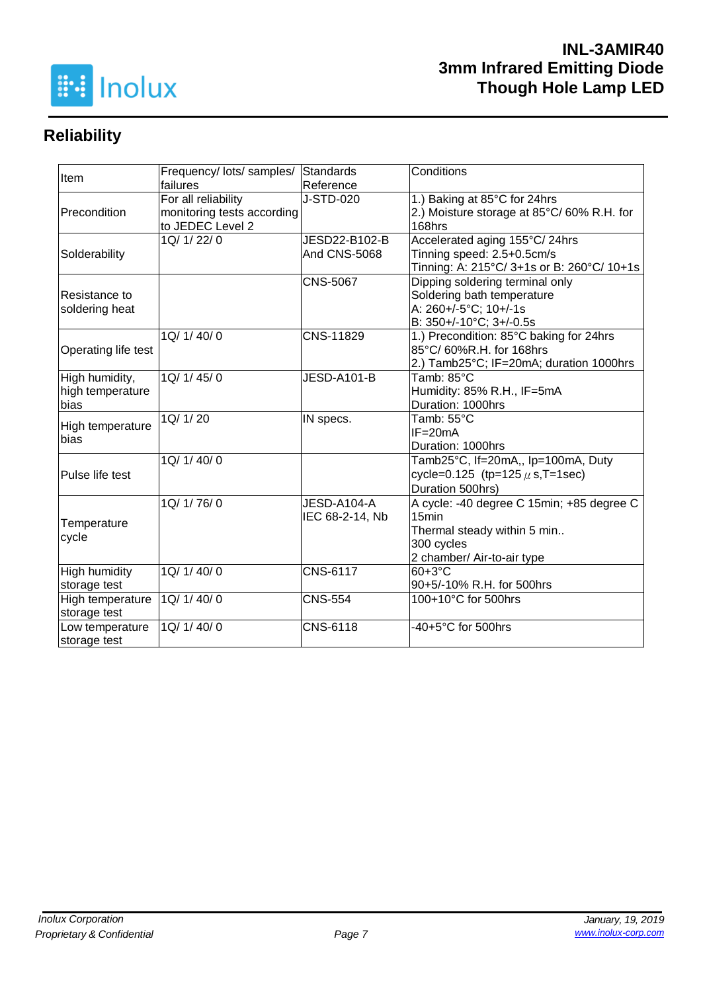

# **Reliability**

| Item                 | Frequency/ lots/ samples/  | Standards           | Conditions                                 |  |  |  |
|----------------------|----------------------------|---------------------|--------------------------------------------|--|--|--|
|                      | failures                   | Reference           |                                            |  |  |  |
|                      | For all reliability        | J-STD-020           | 1.) Baking at 85°C for 24hrs               |  |  |  |
| Precondition         | monitoring tests according |                     | 2.) Moisture storage at 85°C/60% R.H. for  |  |  |  |
|                      | to JEDEC Level 2           |                     | 168hrs                                     |  |  |  |
|                      | 1Q/ 1/ 22/ 0               | JESD22-B102-B       | Accelerated aging 155°C/24hrs              |  |  |  |
| Solderability        |                            | <b>And CNS-5068</b> | Tinning speed: 2.5+0.5cm/s                 |  |  |  |
|                      |                            |                     | Tinning: A: 215°C/ 3+1s or B: 260°C/ 10+1s |  |  |  |
|                      |                            | <b>CNS-5067</b>     | Dipping soldering terminal only            |  |  |  |
| Resistance to        |                            |                     | Soldering bath temperature                 |  |  |  |
| soldering heat       |                            |                     | A: 260+/-5°C; 10+/-1s                      |  |  |  |
|                      |                            |                     | B: 350+/-10°C; 3+/-0.5s                    |  |  |  |
|                      | 1Q/ 1/ 40/ 0               | CNS-11829           | 1.) Precondition: 85°C baking for 24hrs    |  |  |  |
| Operating life test  |                            |                     | 85°C/ 60%R.H. for 168hrs                   |  |  |  |
|                      |                            |                     | 2.) Tamb25°C; IF=20mA; duration 1000hrs    |  |  |  |
| High humidity,       | 1Q/1/45/0                  | JESD-A101-B         | Tamb: 85°C                                 |  |  |  |
| high temperature     |                            |                     | Humidity: 85% R.H., IF=5mA                 |  |  |  |
| bias                 |                            |                     | Duration: 1000hrs                          |  |  |  |
| High temperature     | 1Q/ 1/ 20                  | IN specs.           | Tamb: 55°C                                 |  |  |  |
| bias                 |                            |                     | $IF = 20mA$                                |  |  |  |
|                      |                            |                     | Duration: 1000hrs                          |  |  |  |
|                      | 1Q/1/40/0                  |                     | Tamb25°C, If=20mA,, Ip=100mA, Duty         |  |  |  |
| Pulse life test      |                            |                     | cycle=0.125 (tp=125 $\mu$ s, T=1sec)       |  |  |  |
|                      |                            |                     | Duration 500hrs)                           |  |  |  |
|                      | 1Q/ 1/ 76/ 0               | JESD-A104-A         | A cycle: -40 degree C 15min; +85 degree C  |  |  |  |
|                      |                            | IEC 68-2-14, Nb     | 15 <sub>min</sub>                          |  |  |  |
| Temperature          |                            |                     | Thermal steady within 5 min                |  |  |  |
| cycle                |                            |                     | 300 cycles                                 |  |  |  |
|                      |                            |                     | 2 chamber/ Air-to-air type                 |  |  |  |
| <b>High humidity</b> | 1Q/ 1/ 40/ 0               | <b>CNS-6117</b>     | $60+3°C$                                   |  |  |  |
| storage test         |                            |                     | 90+5/-10% R.H. for 500hrs                  |  |  |  |
| High temperature     | 1Q/ 1/ 40/ 0               | <b>CNS-554</b>      | 100+10°C for 500hrs                        |  |  |  |
| storage test         |                            |                     |                                            |  |  |  |
| Low temperature      | 1Q/ 1/ 40/ 0               | CNS-6118            | -40+5°C for 500hrs                         |  |  |  |
| storage test         |                            |                     |                                            |  |  |  |